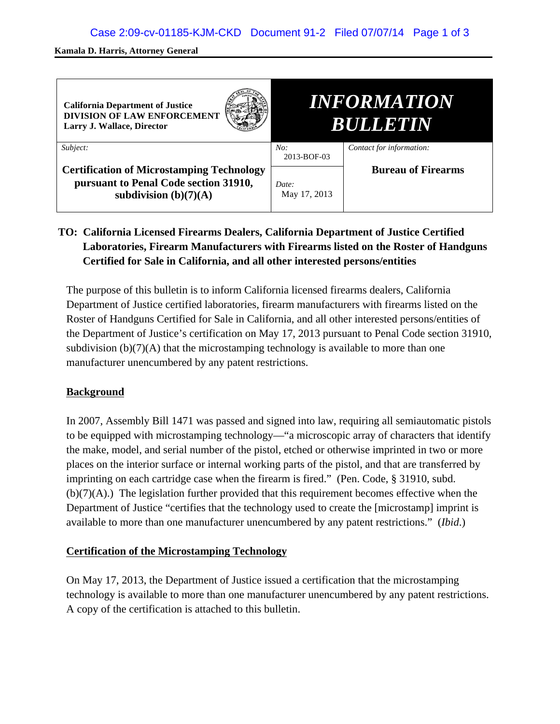#### **Kamala D. Harris, Attorney General**

| <b>California Department of Justice</b><br><b>DIVISION OF LAW ENFORCEMENT</b><br>Larry J. Wallace, Director          | <i><b>INFORMATION</b></i><br><b>BULLETIN</b> |                           |
|----------------------------------------------------------------------------------------------------------------------|----------------------------------------------|---------------------------|
| Subject:                                                                                                             | No:<br>2013-BOF-03                           | Contact for information:  |
| <b>Certification of Microstamping Technology</b><br>pursuant to Penal Code section 31910,<br>subdivision $(b)(7)(A)$ | Date:<br>May 17, 2013                        | <b>Bureau of Firearms</b> |

# **TO: California Licensed Firearms Dealers, California Department of Justice Certified Laboratories, Firearm Manufacturers with Firearms listed on the Roster of Handguns Certified for Sale in California, and all other interested persons/entities**

The purpose of this bulletin is to inform California licensed firearms dealers, California Department of Justice certified laboratories, firearm manufacturers with firearms listed on the Roster of Handguns Certified for Sale in California, and all other interested persons/entities of the Department of Justice's certification on May 17, 2013 pursuant to Penal Code section 31910, subdivision  $(b)(7)(A)$  that the microstamping technology is available to more than one manufacturer unencumbered by any patent restrictions.

## **Background**

In 2007, Assembly Bill 1471 was passed and signed into law, requiring all semiautomatic pistols to be equipped with microstamping technology—"a microscopic array of characters that identify the make, model, and serial number of the pistol, etched or otherwise imprinted in two or more places on the interior surface or internal working parts of the pistol, and that are transferred by imprinting on each cartridge case when the firearm is fired." (Pen. Code, § 31910, subd.  $(b)(7)(A)$ .) The legislation further provided that this requirement becomes effective when the Department of Justice "certifies that the technology used to create the [microstamp] imprint is available to more than one manufacturer unencumbered by any patent restrictions." (*Ibid*.)

## **Certification of the Microstamping Technology**

On May 17, 2013, the Department of Justice issued a certification that the microstamping technology is available to more than one manufacturer unencumbered by any patent restrictions. A copy of the certification is attached to this bulletin.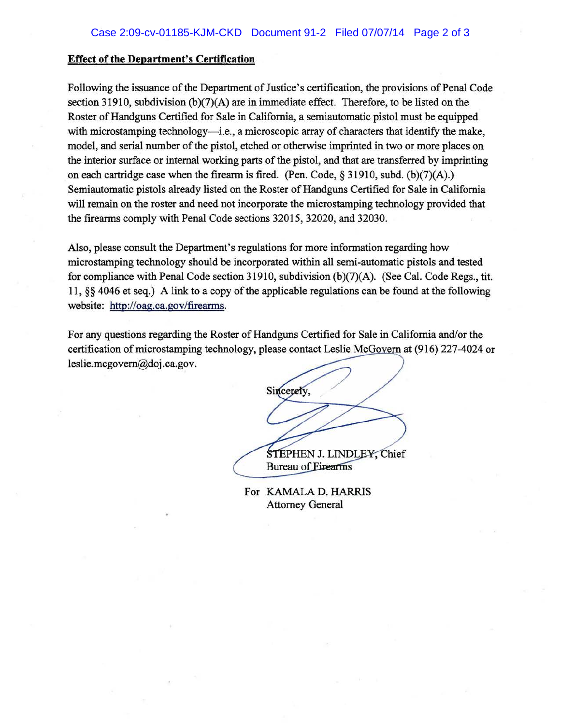#### **Effect of the Department's Certification**

Following the issuance of the Department of Justice's certification, the provisions of Penal Code section 31910, subdivision  $(b)(7)(A)$  are in immediate effect. Therefore, to be listed on the Roster of Handguns Certified for Sale in California, a semiautomatic pistol must be equipped with microstamping technology—i.e., a microscopic array of characters that identify the make, model, and serial number of the pistol, etched or otherwise imprinted in two or more places on the interior surface or internal working parts of the pistol, and that are transferred by imprinting on each cartridge case when the firearm is fired. (Pen. Code,  $\S$  31910, subd. (b)(7)(A).) Semiautomatic pistols already listed on the Roster of Handguns Certified for Sale in California will remain on the roster and need not incorporate the microstamping technology provided that the firearms comply with Penal Code sections 32015, 32020, and 32030.

Also, please consult the Department's regulations for more information regarding how microstamping technology should be incorporated within all semi-automatic pistols and tested for compliance with Penal Code section 31910, subdivision (b)(7)(A). (See Cal. Code Regs., tit. 11, *§§* 4046 et seq.) A link to a copy of the applicable regulations can be found at the following website: http://oag.ca.gov/firearms.

For any questions regarding the Roster of Handguns Certified for Sale in California and/or the certification of microstamping technology, please contact Leslie McGovern at (916) 227-4024 or leslie.mcgovem@doj .ca.gov.

Sincerely, STEPHEN J. LINDLEY, Chief

**Bureau of Eirearms** 

For KAMALA D. HARRIS Attorney General